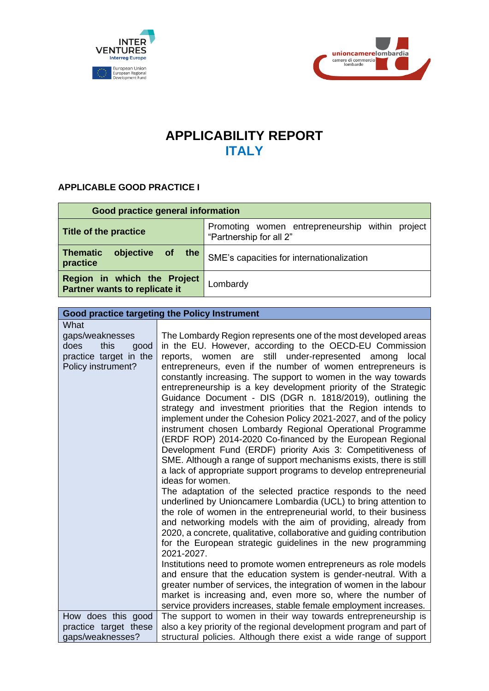



## **APPLICABILITY REPORT ITALY**

## **APPLICABLE GOOD PRACTICE I**

| Good practice general information                            |                                                                            |  |
|--------------------------------------------------------------|----------------------------------------------------------------------------|--|
| Title of the practice                                        | Promoting women entrepreneurship within project<br>"Partnership for all 2" |  |
| <b>Thematic</b><br>objective<br>of<br>the<br>practice        | SME's capacities for internationalization                                  |  |
| Region in which the Project<br>Partner wants to replicate it | Lombardy                                                                   |  |

## **Good practice targeting the Policy Instrument**

| What                   |                                                                                                                                        |
|------------------------|----------------------------------------------------------------------------------------------------------------------------------------|
| gaps/weaknesses        | The Lombardy Region represents one of the most developed areas                                                                         |
| this<br>does<br>good   | in the EU. However, according to the OECD-EU Commission                                                                                |
| practice target in the | reports, women are still under-represented among<br>local                                                                              |
| Policy instrument?     | entrepreneurs, even if the number of women entrepreneurs is                                                                            |
|                        | constantly increasing. The support to women in the way towards                                                                         |
|                        | entrepreneurship is a key development priority of the Strategic                                                                        |
|                        | Guidance Document - DIS (DGR n. 1818/2019), outlining the<br>strategy and investment priorities that the Region intends to             |
|                        | implement under the Cohesion Policy 2021-2027, and of the policy                                                                       |
|                        | instrument chosen Lombardy Regional Operational Programme                                                                              |
|                        | (ERDF ROP) 2014-2020 Co-financed by the European Regional                                                                              |
|                        | Development Fund (ERDF) priority Axis 3: Competitiveness of                                                                            |
|                        | SME. Although a range of support mechanisms exists, there is still                                                                     |
|                        | a lack of appropriate support programs to develop entrepreneurial                                                                      |
|                        | ideas for women.                                                                                                                       |
|                        | The adaptation of the selected practice responds to the need                                                                           |
|                        | underlined by Unioncamere Lombardia (UCL) to bring attention to                                                                        |
|                        | the role of women in the entrepreneurial world, to their business                                                                      |
|                        | and networking models with the aim of providing, already from<br>2020, a concrete, qualitative, collaborative and guiding contribution |
|                        | for the European strategic guidelines in the new programming                                                                           |
|                        | 2021-2027.                                                                                                                             |
|                        | Institutions need to promote women entrepreneurs as role models                                                                        |
|                        | and ensure that the education system is gender-neutral. With a                                                                         |
|                        | greater number of services, the integration of women in the labour                                                                     |
|                        | market is increasing and, even more so, where the number of                                                                            |
|                        | service providers increases, stable female employment increases.                                                                       |
| How does this good     | The support to women in their way towards entrepreneurship is                                                                          |
| practice target these  | also a key priority of the regional development program and part of                                                                    |
| gaps/weaknesses?       | structural policies. Although there exist a wide range of support                                                                      |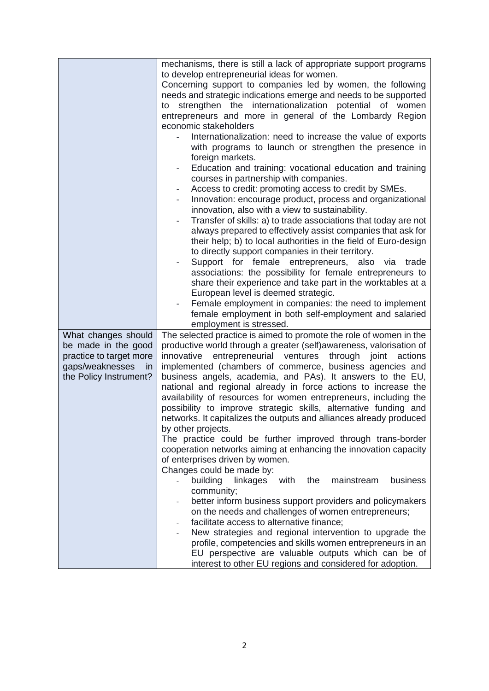|                         | mechanisms, there is still a lack of appropriate support programs<br>to develop entrepreneurial ideas for women.<br>Concerning support to companies led by women, the following<br>needs and strategic indications emerge and needs to be supported<br>strengthen the internationalization potential of women<br>to<br>entrepreneurs and more in general of the Lombardy Region<br>economic stakeholders<br>Internationalization: need to increase the value of exports<br>with programs to launch or strengthen the presence in<br>foreign markets.<br>Education and training: vocational education and training<br>courses in partnership with companies.<br>Access to credit: promoting access to credit by SMEs.<br>-<br>Innovation: encourage product, process and organizational<br>$\qquad \qquad -$<br>innovation, also with a view to sustainability.<br>Transfer of skills: a) to trade associations that today are not<br>$\overline{\phantom{0}}$<br>always prepared to effectively assist companies that ask for<br>their help; b) to local authorities in the field of Euro-design<br>to directly support companies in their territory.<br>Support for female entrepreneurs, also via<br>trade<br>associations: the possibility for female entrepreneurs to<br>share their experience and take part in the worktables at a |
|-------------------------|------------------------------------------------------------------------------------------------------------------------------------------------------------------------------------------------------------------------------------------------------------------------------------------------------------------------------------------------------------------------------------------------------------------------------------------------------------------------------------------------------------------------------------------------------------------------------------------------------------------------------------------------------------------------------------------------------------------------------------------------------------------------------------------------------------------------------------------------------------------------------------------------------------------------------------------------------------------------------------------------------------------------------------------------------------------------------------------------------------------------------------------------------------------------------------------------------------------------------------------------------------------------------------------------------------------------------------------|
|                         | European level is deemed strategic.                                                                                                                                                                                                                                                                                                                                                                                                                                                                                                                                                                                                                                                                                                                                                                                                                                                                                                                                                                                                                                                                                                                                                                                                                                                                                                      |
|                         | Female employment in companies: the need to implement<br>$\overline{\phantom{0}}$                                                                                                                                                                                                                                                                                                                                                                                                                                                                                                                                                                                                                                                                                                                                                                                                                                                                                                                                                                                                                                                                                                                                                                                                                                                        |
|                         | female employment in both self-employment and salaried                                                                                                                                                                                                                                                                                                                                                                                                                                                                                                                                                                                                                                                                                                                                                                                                                                                                                                                                                                                                                                                                                                                                                                                                                                                                                   |
|                         | employment is stressed.                                                                                                                                                                                                                                                                                                                                                                                                                                                                                                                                                                                                                                                                                                                                                                                                                                                                                                                                                                                                                                                                                                                                                                                                                                                                                                                  |
| What changes should     | The selected practice is aimed to promote the role of women in the                                                                                                                                                                                                                                                                                                                                                                                                                                                                                                                                                                                                                                                                                                                                                                                                                                                                                                                                                                                                                                                                                                                                                                                                                                                                       |
| be made in the good     | productive world through a greater (self) awareness, valorisation of                                                                                                                                                                                                                                                                                                                                                                                                                                                                                                                                                                                                                                                                                                                                                                                                                                                                                                                                                                                                                                                                                                                                                                                                                                                                     |
| practice to target more | entrepreneurial ventures through joint actions<br>innovative                                                                                                                                                                                                                                                                                                                                                                                                                                                                                                                                                                                                                                                                                                                                                                                                                                                                                                                                                                                                                                                                                                                                                                                                                                                                             |
| gaps/weaknesses<br>in   | implemented (chambers of commerce, business agencies and                                                                                                                                                                                                                                                                                                                                                                                                                                                                                                                                                                                                                                                                                                                                                                                                                                                                                                                                                                                                                                                                                                                                                                                                                                                                                 |
| the Policy Instrument?  | business angels, academia, and PAs). It answers to the EU,<br>national and regional already in force actions to increase the                                                                                                                                                                                                                                                                                                                                                                                                                                                                                                                                                                                                                                                                                                                                                                                                                                                                                                                                                                                                                                                                                                                                                                                                             |
|                         | availability of resources for women entrepreneurs, including the                                                                                                                                                                                                                                                                                                                                                                                                                                                                                                                                                                                                                                                                                                                                                                                                                                                                                                                                                                                                                                                                                                                                                                                                                                                                         |
|                         | possibility to improve strategic skills, alternative funding and                                                                                                                                                                                                                                                                                                                                                                                                                                                                                                                                                                                                                                                                                                                                                                                                                                                                                                                                                                                                                                                                                                                                                                                                                                                                         |
|                         | networks. It capitalizes the outputs and alliances already produced                                                                                                                                                                                                                                                                                                                                                                                                                                                                                                                                                                                                                                                                                                                                                                                                                                                                                                                                                                                                                                                                                                                                                                                                                                                                      |
|                         | by other projects.                                                                                                                                                                                                                                                                                                                                                                                                                                                                                                                                                                                                                                                                                                                                                                                                                                                                                                                                                                                                                                                                                                                                                                                                                                                                                                                       |
|                         | The practice could be further improved through trans-border                                                                                                                                                                                                                                                                                                                                                                                                                                                                                                                                                                                                                                                                                                                                                                                                                                                                                                                                                                                                                                                                                                                                                                                                                                                                              |
|                         | cooperation networks aiming at enhancing the innovation capacity                                                                                                                                                                                                                                                                                                                                                                                                                                                                                                                                                                                                                                                                                                                                                                                                                                                                                                                                                                                                                                                                                                                                                                                                                                                                         |
|                         | of enterprises driven by women.                                                                                                                                                                                                                                                                                                                                                                                                                                                                                                                                                                                                                                                                                                                                                                                                                                                                                                                                                                                                                                                                                                                                                                                                                                                                                                          |
|                         | Changes could be made by:                                                                                                                                                                                                                                                                                                                                                                                                                                                                                                                                                                                                                                                                                                                                                                                                                                                                                                                                                                                                                                                                                                                                                                                                                                                                                                                |
|                         | building<br>linkages<br>with<br>mainstream<br>business<br>the<br>$\mathcal{L}_{\mathcal{A}}$                                                                                                                                                                                                                                                                                                                                                                                                                                                                                                                                                                                                                                                                                                                                                                                                                                                                                                                                                                                                                                                                                                                                                                                                                                             |
|                         | community;                                                                                                                                                                                                                                                                                                                                                                                                                                                                                                                                                                                                                                                                                                                                                                                                                                                                                                                                                                                                                                                                                                                                                                                                                                                                                                                               |
|                         | better inform business support providers and policymakers<br>on the needs and challenges of women entrepreneurs;                                                                                                                                                                                                                                                                                                                                                                                                                                                                                                                                                                                                                                                                                                                                                                                                                                                                                                                                                                                                                                                                                                                                                                                                                         |
|                         | facilitate access to alternative finance;                                                                                                                                                                                                                                                                                                                                                                                                                                                                                                                                                                                                                                                                                                                                                                                                                                                                                                                                                                                                                                                                                                                                                                                                                                                                                                |
|                         | New strategies and regional intervention to upgrade the                                                                                                                                                                                                                                                                                                                                                                                                                                                                                                                                                                                                                                                                                                                                                                                                                                                                                                                                                                                                                                                                                                                                                                                                                                                                                  |
|                         | profile, competencies and skills women entrepreneurs in an                                                                                                                                                                                                                                                                                                                                                                                                                                                                                                                                                                                                                                                                                                                                                                                                                                                                                                                                                                                                                                                                                                                                                                                                                                                                               |
|                         | EU perspective are valuable outputs which can be of                                                                                                                                                                                                                                                                                                                                                                                                                                                                                                                                                                                                                                                                                                                                                                                                                                                                                                                                                                                                                                                                                                                                                                                                                                                                                      |
|                         | interest to other EU regions and considered for adoption.                                                                                                                                                                                                                                                                                                                                                                                                                                                                                                                                                                                                                                                                                                                                                                                                                                                                                                                                                                                                                                                                                                                                                                                                                                                                                |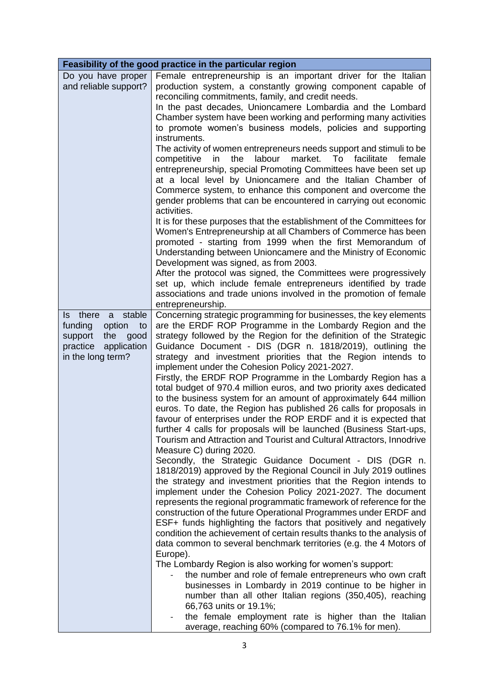| Feasibility of the good practice in the particular region                                                                    |                                                                                                                                                                                                                                                                                                                                                                                                                                                                                                                                                                                                                                                                                                                                                                                                                                                                                                                                                                                                                                                                                                                                                                                                                                                                                                                                                                                                                                                                                                                                                                                                                                                                                                                                                                                                                                                                                                                                                                              |  |
|------------------------------------------------------------------------------------------------------------------------------|------------------------------------------------------------------------------------------------------------------------------------------------------------------------------------------------------------------------------------------------------------------------------------------------------------------------------------------------------------------------------------------------------------------------------------------------------------------------------------------------------------------------------------------------------------------------------------------------------------------------------------------------------------------------------------------------------------------------------------------------------------------------------------------------------------------------------------------------------------------------------------------------------------------------------------------------------------------------------------------------------------------------------------------------------------------------------------------------------------------------------------------------------------------------------------------------------------------------------------------------------------------------------------------------------------------------------------------------------------------------------------------------------------------------------------------------------------------------------------------------------------------------------------------------------------------------------------------------------------------------------------------------------------------------------------------------------------------------------------------------------------------------------------------------------------------------------------------------------------------------------------------------------------------------------------------------------------------------------|--|
| Do you have proper<br>and reliable support?                                                                                  | Female entrepreneurship is an important driver for the Italian<br>production system, a constantly growing component capable of<br>reconciling commitments, family, and credit needs.<br>In the past decades, Unioncamere Lombardia and the Lombard<br>Chamber system have been working and performing many activities<br>to promote women's business models, policies and supporting<br>instruments.<br>The activity of women entrepreneurs needs support and stimuli to be<br>market.<br>competitive<br>the<br>labour<br>To<br>facilitate<br>female<br>in<br>entrepreneurship, special Promoting Committees have been set up<br>at a local level by Unioncamere and the Italian Chamber of<br>Commerce system, to enhance this component and overcome the<br>gender problems that can be encountered in carrying out economic<br>activities.<br>It is for these purposes that the establishment of the Committees for<br>Women's Entrepreneurship at all Chambers of Commerce has been<br>promoted - starting from 1999 when the first Memorandum of<br>Understanding between Unioncamere and the Ministry of Economic<br>Development was signed, as from 2003.<br>After the protocol was signed, the Committees were progressively<br>set up, which include female entrepreneurs identified by trade<br>associations and trade unions involved in the promotion of female<br>entrepreneurship.                                                                                                                                                                                                                                                                                                                                                                                                                                                                                                                                                                             |  |
| Is there<br>stable<br>a<br>funding<br>option<br>to<br>support<br>the<br>good<br>practice<br>application<br>in the long term? | Concerning strategic programming for businesses, the key elements<br>are the ERDF ROP Programme in the Lombardy Region and the<br>strategy followed by the Region for the definition of the Strategic<br>Guidance Document - DIS (DGR n. 1818/2019), outlining the<br>strategy and investment priorities that the Region intends to<br>implement under the Cohesion Policy 2021-2027.<br>Firstly, the ERDF ROP Programme in the Lombardy Region has a<br>total budget of 970.4 million euros, and two priority axes dedicated<br>to the business system for an amount of approximately 644 million<br>euros. To date, the Region has published 26 calls for proposals in<br>favour of enterprises under the ROP ERDF and it is expected that<br>further 4 calls for proposals will be launched (Business Start-ups,<br>Tourism and Attraction and Tourist and Cultural Attractors, Innodrive<br>Measure C) during 2020.<br>Secondly, the Strategic Guidance Document - DIS (DGR n.<br>1818/2019) approved by the Regional Council in July 2019 outlines<br>the strategy and investment priorities that the Region intends to<br>implement under the Cohesion Policy 2021-2027. The document<br>represents the regional programmatic framework of reference for the<br>construction of the future Operational Programmes under ERDF and<br>ESF+ funds highlighting the factors that positively and negatively<br>condition the achievement of certain results thanks to the analysis of<br>data common to several benchmark territories (e.g. the 4 Motors of<br>Europe).<br>The Lombardy Region is also working for women's support:<br>the number and role of female entrepreneurs who own craft<br>businesses in Lombardy in 2019 continue to be higher in<br>number than all other Italian regions (350,405), reaching<br>66,763 units or 19.1%;<br>the female employment rate is higher than the Italian<br>$\sim$<br>average, reaching 60% (compared to 76.1% for men). |  |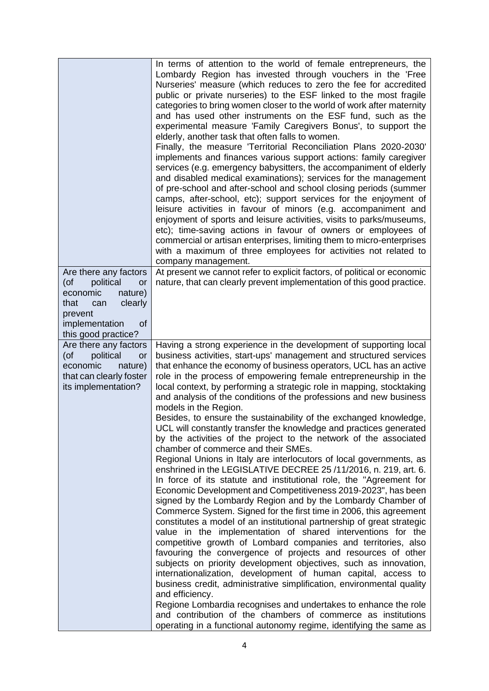|                                                                                                                          | In terms of attention to the world of female entrepreneurs, the<br>Lombardy Region has invested through vouchers in the 'Free<br>Nurseries' measure (which reduces to zero the fee for accredited<br>public or private nurseries) to the ESF linked to the most fragile<br>categories to bring women closer to the world of work after maternity<br>and has used other instruments on the ESF fund, such as the<br>experimental measure 'Family Caregivers Bonus', to support the<br>elderly, another task that often falls to women.<br>Finally, the measure 'Territorial Reconciliation Plans 2020-2030'<br>implements and finances various support actions: family caregiver<br>services (e.g. emergency babysitters, the accompaniment of elderly<br>and disabled medical examinations); services for the management<br>of pre-school and after-school and school closing periods (summer<br>camps, after-school, etc); support services for the enjoyment of<br>leisure activities in favour of minors (e.g. accompaniment and<br>enjoyment of sports and leisure activities, visits to parks/museums,<br>etc); time-saving actions in favour of owners or employees of<br>commercial or artisan enterprises, limiting them to micro-enterprises<br>with a maximum of three employees for activities not related to<br>company management.                                                                                                                                                                                                       |
|--------------------------------------------------------------------------------------------------------------------------|-------------------------------------------------------------------------------------------------------------------------------------------------------------------------------------------------------------------------------------------------------------------------------------------------------------------------------------------------------------------------------------------------------------------------------------------------------------------------------------------------------------------------------------------------------------------------------------------------------------------------------------------------------------------------------------------------------------------------------------------------------------------------------------------------------------------------------------------------------------------------------------------------------------------------------------------------------------------------------------------------------------------------------------------------------------------------------------------------------------------------------------------------------------------------------------------------------------------------------------------------------------------------------------------------------------------------------------------------------------------------------------------------------------------------------------------------------------------------------------------------------------------------------------------------------|
| Are there any factors                                                                                                    | At present we cannot refer to explicit factors, of political or economic                                                                                                                                                                                                                                                                                                                                                                                                                                                                                                                                                                                                                                                                                                                                                                                                                                                                                                                                                                                                                                                                                                                                                                                                                                                                                                                                                                                                                                                                              |
| political<br>(of<br>or                                                                                                   | nature, that can clearly prevent implementation of this good practice.                                                                                                                                                                                                                                                                                                                                                                                                                                                                                                                                                                                                                                                                                                                                                                                                                                                                                                                                                                                                                                                                                                                                                                                                                                                                                                                                                                                                                                                                                |
| economic<br>nature)                                                                                                      |                                                                                                                                                                                                                                                                                                                                                                                                                                                                                                                                                                                                                                                                                                                                                                                                                                                                                                                                                                                                                                                                                                                                                                                                                                                                                                                                                                                                                                                                                                                                                       |
| that<br>clearly<br>can<br>prevent                                                                                        |                                                                                                                                                                                                                                                                                                                                                                                                                                                                                                                                                                                                                                                                                                                                                                                                                                                                                                                                                                                                                                                                                                                                                                                                                                                                                                                                                                                                                                                                                                                                                       |
| implementation<br>of                                                                                                     |                                                                                                                                                                                                                                                                                                                                                                                                                                                                                                                                                                                                                                                                                                                                                                                                                                                                                                                                                                                                                                                                                                                                                                                                                                                                                                                                                                                                                                                                                                                                                       |
| this good practice?                                                                                                      |                                                                                                                                                                                                                                                                                                                                                                                                                                                                                                                                                                                                                                                                                                                                                                                                                                                                                                                                                                                                                                                                                                                                                                                                                                                                                                                                                                                                                                                                                                                                                       |
| Are there any factors<br>political<br>(of<br>or<br>economic<br>nature)<br>that can clearly foster<br>its implementation? | Having a strong experience in the development of supporting local<br>business activities, start-ups' management and structured services<br>that enhance the economy of business operators, UCL has an active<br>role in the process of empowering female entrepreneurship in the<br>local context, by performing a strategic role in mapping, stocktaking<br>and analysis of the conditions of the professions and new business<br>models in the Region.<br>Besides, to ensure the sustainability of the exchanged knowledge,<br>UCL will constantly transfer the knowledge and practices generated<br>by the activities of the project to the network of the associated<br>chamber of commerce and their SMEs.<br>Regional Unions in Italy are interlocutors of local governments, as<br>enshrined in the LEGISLATIVE DECREE 25/11/2016, n. 219, art. 6.<br>In force of its statute and institutional role, the "Agreement for<br>Economic Development and Competitiveness 2019-2023", has been<br>signed by the Lombardy Region and by the Lombardy Chamber of<br>Commerce System. Signed for the first time in 2006, this agreement<br>constitutes a model of an institutional partnership of great strategic<br>value in the implementation of shared interventions for the<br>competitive growth of Lombard companies and territories, also<br>favouring the convergence of projects and resources of other<br>subjects on priority development objectives, such as innovation,<br>internationalization, development of human capital, access to |
|                                                                                                                          | business credit, administrative simplification, environmental quality<br>and efficiency.<br>Regione Lombardia recognises and undertakes to enhance the role<br>and contribution of the chambers of commerce as institutions<br>operating in a functional autonomy regime, identifying the same as                                                                                                                                                                                                                                                                                                                                                                                                                                                                                                                                                                                                                                                                                                                                                                                                                                                                                                                                                                                                                                                                                                                                                                                                                                                     |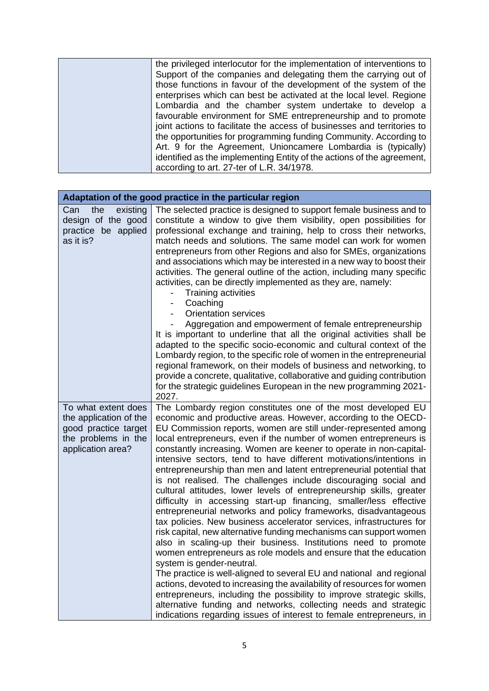| the privileged interlocutor for the implementation of interventions to  |
|-------------------------------------------------------------------------|
| Support of the companies and delegating them the carrying out of        |
| those functions in favour of the development of the system of the       |
| enterprises which can best be activated at the local level. Regione     |
| Lombardia and the chamber system undertake to develop a                 |
| favourable environment for SME entrepreneurship and to promote          |
| joint actions to facilitate the access of businesses and territories to |
| the opportunities for programming funding Community. According to       |
| Art. 9 for the Agreement, Unioncamere Lombardia is (typically)          |
| identified as the implementing Entity of the actions of the agreement,  |
| according to art. 27-ter of L.R. 34/1978.                               |

| Adaptation of the good practice in the particular region                                                          |                                                                                                                                                                                                                                                                                                                                                                                                                                                                                                                                                                                                                                                                                                                                                                                                                                                                                                                                                                                                                                                                                                                                                                                                                                                                                                                                                                                                                                                                        |  |
|-------------------------------------------------------------------------------------------------------------------|------------------------------------------------------------------------------------------------------------------------------------------------------------------------------------------------------------------------------------------------------------------------------------------------------------------------------------------------------------------------------------------------------------------------------------------------------------------------------------------------------------------------------------------------------------------------------------------------------------------------------------------------------------------------------------------------------------------------------------------------------------------------------------------------------------------------------------------------------------------------------------------------------------------------------------------------------------------------------------------------------------------------------------------------------------------------------------------------------------------------------------------------------------------------------------------------------------------------------------------------------------------------------------------------------------------------------------------------------------------------------------------------------------------------------------------------------------------------|--|
| the<br>existing<br>Can<br>design of the good<br>practice be applied<br>as it is?                                  | The selected practice is designed to support female business and to<br>constitute a window to give them visibility, open possibilities for<br>professional exchange and training, help to cross their networks,<br>match needs and solutions. The same model can work for women<br>entrepreneurs from other Regions and also for SMEs, organizations<br>and associations which may be interested in a new way to boost their<br>activities. The general outline of the action, including many specific<br>activities, can be directly implemented as they are, namely:<br>Training activities<br>Coaching<br><b>Orientation services</b><br>Aggregation and empowerment of female entrepreneurship<br>It is important to underline that all the original activities shall be<br>adapted to the specific socio-economic and cultural context of the<br>Lombardy region, to the specific role of women in the entrepreneurial<br>regional framework, on their models of business and networking, to<br>provide a concrete, qualitative, collaborative and guiding contribution<br>for the strategic guidelines European in the new programming 2021-<br>2027.                                                                                                                                                                                                                                                                                                            |  |
| To what extent does<br>the application of the<br>good practice target<br>the problems in the<br>application area? | The Lombardy region constitutes one of the most developed EU<br>economic and productive areas. However, according to the OECD-<br>EU Commission reports, women are still under-represented among<br>local entrepreneurs, even if the number of women entrepreneurs is<br>constantly increasing. Women are keener to operate in non-capital-<br>intensive sectors, tend to have different motivations/intentions in<br>entrepreneurship than men and latent entrepreneurial potential that<br>is not realised. The challenges include discouraging social and<br>cultural attitudes, lower levels of entrepreneurship skills, greater<br>difficulty in accessing start-up financing, smaller/less effective<br>entrepreneurial networks and policy frameworks, disadvantageous<br>tax policies. New business accelerator services, infrastructures for<br>risk capital, new alternative funding mechanisms can support women<br>also in scaling-up their business. Institutions need to promote<br>women entrepreneurs as role models and ensure that the education<br>system is gender-neutral.<br>The practice is well-aligned to several EU and national and regional<br>actions, devoted to increasing the availability of resources for women<br>entrepreneurs, including the possibility to improve strategic skills,<br>alternative funding and networks, collecting needs and strategic<br>indications regarding issues of interest to female entrepreneurs, in |  |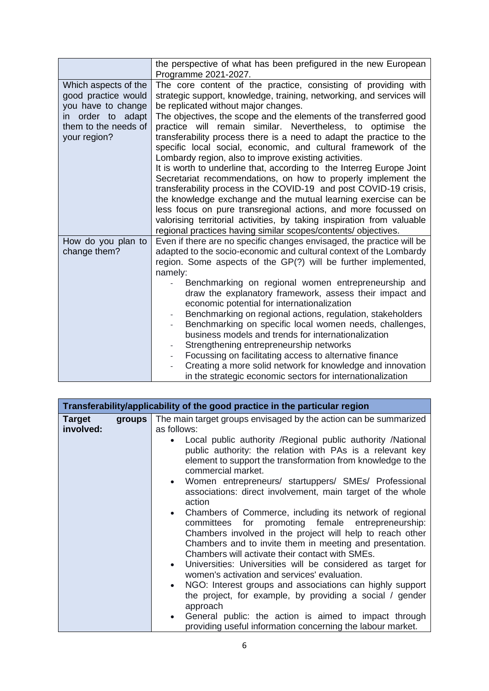|                                                                                                                                | the perspective of what has been prefigured in the new European<br>Programme 2021-2027.                                                                                                                                                                                                                                                                                                                                                                                                                                                                                                                                                                                                                                                                                                                                                                                                                                                                                                                                |
|--------------------------------------------------------------------------------------------------------------------------------|------------------------------------------------------------------------------------------------------------------------------------------------------------------------------------------------------------------------------------------------------------------------------------------------------------------------------------------------------------------------------------------------------------------------------------------------------------------------------------------------------------------------------------------------------------------------------------------------------------------------------------------------------------------------------------------------------------------------------------------------------------------------------------------------------------------------------------------------------------------------------------------------------------------------------------------------------------------------------------------------------------------------|
| Which aspects of the<br>good practice would<br>you have to change<br>in order to adapt<br>them to the needs of<br>your region? | The core content of the practice, consisting of providing with<br>strategic support, knowledge, training, networking, and services will<br>be replicated without major changes.<br>The objectives, the scope and the elements of the transferred good<br>practice will remain similar. Nevertheless, to optimise the<br>transferability process there is a need to adapt the practice to the<br>specific local social, economic, and cultural framework of the<br>Lombardy region, also to improve existing activities.<br>It is worth to underline that, according to the Interreg Europe Joint<br>Secretariat recommendations, on how to properly implement the<br>transferability process in the COVID-19 and post COVID-19 crisis,<br>the knowledge exchange and the mutual learning exercise can be<br>less focus on pure transregional actions, and more focussed on<br>valorising territorial activities, by taking inspiration from valuable<br>regional practices having similar scopes/contents/ objectives. |
| How do you plan to<br>change them?                                                                                             | Even if there are no specific changes envisaged, the practice will be<br>adapted to the socio-economic and cultural context of the Lombardy<br>region. Some aspects of the GP(?) will be further implemented,<br>namely:<br>Benchmarking on regional women entrepreneurship and<br>draw the explanatory framework, assess their impact and<br>economic potential for internationalization<br>Benchmarking on regional actions, regulation, stakeholders<br>Benchmarking on specific local women needs, challenges,<br>business models and trends for internationalization<br>Strengthening entrepreneurship networks<br>Focussing on facilitating access to alternative finance<br>Creating a more solid network for knowledge and innovation<br>in the strategic economic sectors for internationalization                                                                                                                                                                                                            |

| Transferability/applicability of the good practice in the particular region |        |                                                                                                                                                                                                                                                                                            |
|-----------------------------------------------------------------------------|--------|--------------------------------------------------------------------------------------------------------------------------------------------------------------------------------------------------------------------------------------------------------------------------------------------|
| <b>Target</b><br>involved:                                                  | groups | The main target groups envisaged by the action can be summarized<br>as follows:                                                                                                                                                                                                            |
|                                                                             |        | Local public authority / Regional public authority / National<br>public authority: the relation with PAs is a relevant key<br>element to support the transformation from knowledge to the<br>commercial market.                                                                            |
|                                                                             |        | Women entrepreneurs/ startuppers/ SMEs/ Professional<br>associations: direct involvement, main target of the whole<br>action                                                                                                                                                               |
|                                                                             |        | • Chambers of Commerce, including its network of regional<br>committees for promoting female entrepreneurship:<br>Chambers involved in the project will help to reach other<br>Chambers and to invite them in meeting and presentation.<br>Chambers will activate their contact with SMEs. |
|                                                                             |        | Universities: Universities will be considered as target for<br>women's activation and services' evaluation.                                                                                                                                                                                |
|                                                                             |        | NGO: Interest groups and associations can highly support<br>$\bullet$<br>the project, for example, by providing a social / gender<br>approach                                                                                                                                              |
|                                                                             |        | General public: the action is aimed to impact through<br>providing useful information concerning the labour market.                                                                                                                                                                        |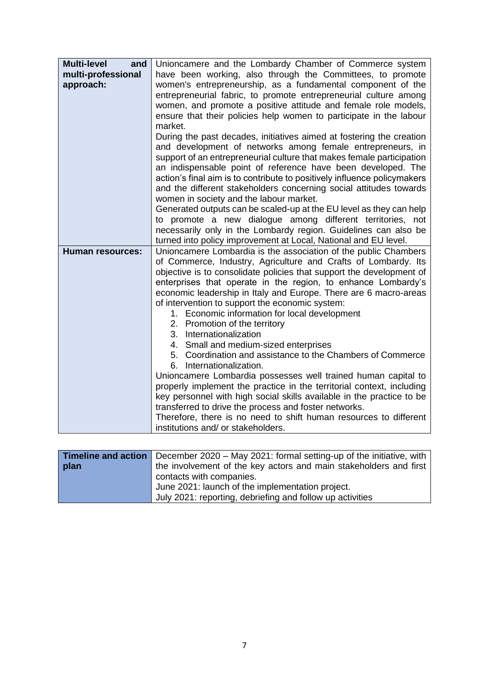| <b>Multi-level</b><br>and<br>multi-professional<br>approach: | Unioncamere and the Lombardy Chamber of Commerce system<br>have been working, also through the Committees, to promote<br>women's entrepreneurship, as a fundamental component of the<br>entrepreneurial fabric, to promote entrepreneurial culture among<br>women, and promote a positive attitude and female role models,<br>ensure that their policies help women to participate in the labour<br>market.                                                                                                                                                                                                                                                                                                                                                                                                                                                                                                                                                                                                                              |
|--------------------------------------------------------------|------------------------------------------------------------------------------------------------------------------------------------------------------------------------------------------------------------------------------------------------------------------------------------------------------------------------------------------------------------------------------------------------------------------------------------------------------------------------------------------------------------------------------------------------------------------------------------------------------------------------------------------------------------------------------------------------------------------------------------------------------------------------------------------------------------------------------------------------------------------------------------------------------------------------------------------------------------------------------------------------------------------------------------------|
|                                                              | During the past decades, initiatives aimed at fostering the creation<br>and development of networks among female entrepreneurs, in<br>support of an entrepreneurial culture that makes female participation<br>an indispensable point of reference have been developed. The<br>action's final aim is to contribute to positively influence policymakers<br>and the different stakeholders concerning social attitudes towards<br>women in society and the labour market.                                                                                                                                                                                                                                                                                                                                                                                                                                                                                                                                                                 |
|                                                              | Generated outputs can be scaled-up at the EU level as they can help<br>to promote a new dialogue among different territories, not<br>necessarily only in the Lombardy region. Guidelines can also be<br>turned into policy improvement at Local, National and EU level.                                                                                                                                                                                                                                                                                                                                                                                                                                                                                                                                                                                                                                                                                                                                                                  |
| <b>Human resources:</b>                                      | Unioncamere Lombardia is the association of the public Chambers<br>of Commerce, Industry, Agriculture and Crafts of Lombardy. Its<br>objective is to consolidate policies that support the development of<br>enterprises that operate in the region, to enhance Lombardy's<br>economic leadership in Italy and Europe. There are 6 macro-areas<br>of intervention to support the economic system:<br>1. Economic information for local development<br>2. Promotion of the territory<br>3. Internationalization<br>4. Small and medium-sized enterprises<br>5. Coordination and assistance to the Chambers of Commerce<br>6. Internationalization.<br>Unioncamere Lombardia possesses well trained human capital to<br>properly implement the practice in the territorial context, including<br>key personnel with high social skills available in the practice to be<br>transferred to drive the process and foster networks.<br>Therefore, there is no need to shift human resources to different<br>institutions and/ or stakeholders. |

|      | <b>Timeline and action</b> December 2020 – May 2021: formal setting-up of the initiative, with |  |
|------|------------------------------------------------------------------------------------------------|--|
| plan | the involvement of the key actors and main stakeholders and first                              |  |
|      | contacts with companies.                                                                       |  |
|      | June 2021: launch of the implementation project.                                               |  |
|      | July 2021: reporting, debriefing and follow up activities                                      |  |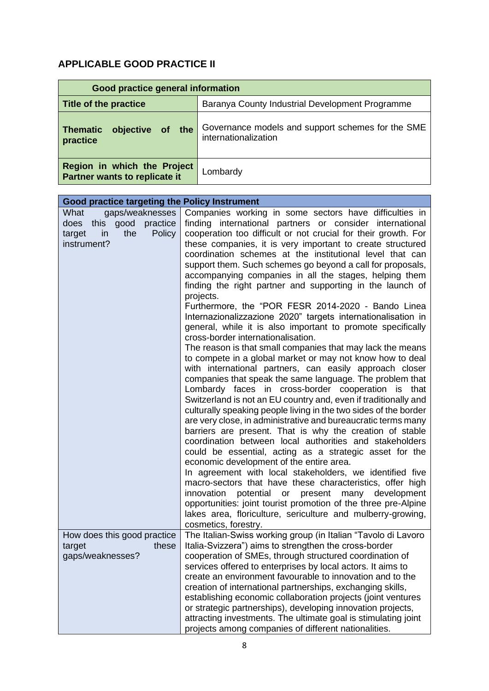## **APPLICABLE GOOD PRACTICE II**

| Good practice general information                            |                                                                           |
|--------------------------------------------------------------|---------------------------------------------------------------------------|
| Title of the practice                                        | Baranya County Industrial Development Programme                           |
| of the<br><b>Thematic</b><br>objective<br>practice           | Governance models and support schemes for the SME<br>internationalization |
| Region in which the Project<br>Partner wants to replicate it | Lombardy                                                                  |

| Good practice targeting the Policy Instrument                                                         |                                                                                                                                                                                                                                                                                                                                                                                                                                                                                                                                                                                                                                                                                                                                                                                                                                                                                                                                                                                                                                                                                                                                                                                                                                                                                                                                                                                                                                                                                                                                                                                                                                                                                                                                                                                                                                                           |
|-------------------------------------------------------------------------------------------------------|-----------------------------------------------------------------------------------------------------------------------------------------------------------------------------------------------------------------------------------------------------------------------------------------------------------------------------------------------------------------------------------------------------------------------------------------------------------------------------------------------------------------------------------------------------------------------------------------------------------------------------------------------------------------------------------------------------------------------------------------------------------------------------------------------------------------------------------------------------------------------------------------------------------------------------------------------------------------------------------------------------------------------------------------------------------------------------------------------------------------------------------------------------------------------------------------------------------------------------------------------------------------------------------------------------------------------------------------------------------------------------------------------------------------------------------------------------------------------------------------------------------------------------------------------------------------------------------------------------------------------------------------------------------------------------------------------------------------------------------------------------------------------------------------------------------------------------------------------------------|
| gaps/weaknesses<br>What<br>this good practice<br>does<br>in<br>the<br>Policy<br>target<br>instrument? | Companies working in some sectors have difficulties in<br>finding international partners or consider international<br>cooperation too difficult or not crucial for their growth. For<br>these companies, it is very important to create structured<br>coordination schemes at the institutional level that can<br>support them. Such schemes go beyond a call for proposals,<br>accompanying companies in all the stages, helping them<br>finding the right partner and supporting in the launch of<br>projects.<br>Furthermore, the "POR FESR 2014-2020 - Bando Linea<br>Internazionalizzazione 2020" targets internationalisation in<br>general, while it is also important to promote specifically<br>cross-border internationalisation.<br>The reason is that small companies that may lack the means<br>to compete in a global market or may not know how to deal<br>with international partners, can easily approach closer<br>companies that speak the same language. The problem that<br>Lombardy faces in cross-border cooperation is that<br>Switzerland is not an EU country and, even if traditionally and<br>culturally speaking people living in the two sides of the border<br>are very close, in administrative and bureaucratic terms many<br>barriers are present. That is why the creation of stable<br>coordination between local authorities and stakeholders<br>could be essential, acting as a strategic asset for the<br>economic development of the entire area.<br>In agreement with local stakeholders, we identified five<br>macro-sectors that have these characteristics, offer high<br>innovation<br>potential<br>development<br>$\mathsf{or}$<br>present<br>many<br>opportunities: joint tourist promotion of the three pre-Alpine<br>lakes area, floriculture, sericulture and mulberry-growing,<br>cosmetics, forestry. |
| How does this good practice<br>these<br>target<br>gaps/weaknesses?                                    | The Italian-Swiss working group (in Italian "Tavolo di Lavoro<br>Italia-Svizzera") aims to strengthen the cross-border<br>cooperation of SMEs, through structured coordination of<br>services offered to enterprises by local actors. It aims to<br>create an environment favourable to innovation and to the<br>creation of international partnerships, exchanging skills,<br>establishing economic collaboration projects (joint ventures<br>or strategic partnerships), developing innovation projects,<br>attracting investments. The ultimate goal is stimulating joint<br>projects among companies of different nationalities.                                                                                                                                                                                                                                                                                                                                                                                                                                                                                                                                                                                                                                                                                                                                                                                                                                                                                                                                                                                                                                                                                                                                                                                                                      |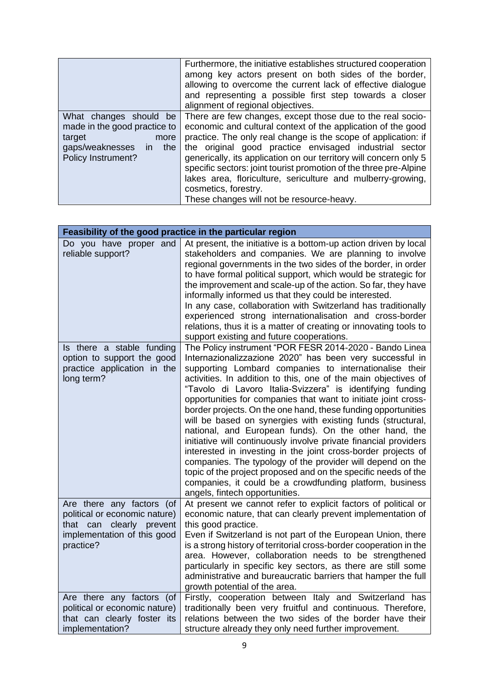|                                                                                                                             | Furthermore, the initiative establishes structured cooperation<br>among key actors present on both sides of the border,<br>allowing to overcome the current lack of effective dialogue<br>and representing a possible first step towards a closer<br>alignment of regional objectives.                                                                                                                                                                                                                                               |
|-----------------------------------------------------------------------------------------------------------------------------|--------------------------------------------------------------------------------------------------------------------------------------------------------------------------------------------------------------------------------------------------------------------------------------------------------------------------------------------------------------------------------------------------------------------------------------------------------------------------------------------------------------------------------------|
| What changes should be<br>made in the good practice to<br>target<br>more<br>gaps/weaknesses in<br>the<br>Policy Instrument? | There are few changes, except those due to the real socio-<br>economic and cultural context of the application of the good<br>practice. The only real change is the scope of application: if<br>the original good practice envisaged industrial sector<br>generically, its application on our territory will concern only 5<br>specific sectors: joint tourist promotion of the three pre-Alpine<br>lakes area, floriculture, sericulture and mulberry-growing,<br>cosmetics, forestry.<br>These changes will not be resource-heavy. |

| Feasibility of the good practice in the particular region                                                                                |                                                                                                                                                                                                                                                                                                                                                                                                                                                                                                                                                                                                                                                                                                                                                                                                                                                                                                                                            |
|------------------------------------------------------------------------------------------------------------------------------------------|--------------------------------------------------------------------------------------------------------------------------------------------------------------------------------------------------------------------------------------------------------------------------------------------------------------------------------------------------------------------------------------------------------------------------------------------------------------------------------------------------------------------------------------------------------------------------------------------------------------------------------------------------------------------------------------------------------------------------------------------------------------------------------------------------------------------------------------------------------------------------------------------------------------------------------------------|
| Do you have proper and<br>reliable support?                                                                                              | At present, the initiative is a bottom-up action driven by local<br>stakeholders and companies. We are planning to involve<br>regional governments in the two sides of the border, in order<br>to have formal political support, which would be strategic for<br>the improvement and scale-up of the action. So far, they have<br>informally informed us that they could be interested.<br>In any case, collaboration with Switzerland has traditionally<br>experienced strong internationalisation and cross-border<br>relations, thus it is a matter of creating or innovating tools to<br>support existing and future cooperations.                                                                                                                                                                                                                                                                                                     |
| Is there a stable funding<br>option to support the good<br>practice application in the<br>long term?                                     | The Policy instrument "POR FESR 2014-2020 - Bando Linea<br>Internazionalizzazione 2020" has been very successful in<br>supporting Lombard companies to internationalise their<br>activities. In addition to this, one of the main objectives of<br>"Tavolo di Lavoro Italia-Svizzera" is identifying funding<br>opportunities for companies that want to initiate joint cross-<br>border projects. On the one hand, these funding opportunities<br>will be based on synergies with existing funds (structural,<br>national, and European funds). On the other hand, the<br>initiative will continuously involve private financial providers<br>interested in investing in the joint cross-border projects of<br>companies. The typology of the provider will depend on the<br>topic of the project proposed and on the specific needs of the<br>companies, it could be a crowdfunding platform, business<br>angels, fintech opportunities. |
| Are there any factors (of<br>political or economic nature)<br>clearly<br>that can<br>prevent<br>implementation of this good<br>practice? | At present we cannot refer to explicit factors of political or<br>economic nature, that can clearly prevent implementation of<br>this good practice.<br>Even if Switzerland is not part of the European Union, there<br>is a strong history of territorial cross-border cooperation in the<br>area. However, collaboration needs to be strengthened<br>particularly in specific key sectors, as there are still some<br>administrative and bureaucratic barriers that hamper the full<br>growth potential of the area.                                                                                                                                                                                                                                                                                                                                                                                                                     |
| Are there any factors (of<br>political or economic nature)<br>that can clearly foster its<br>implementation?                             | Firstly, cooperation between Italy and Switzerland has<br>traditionally been very fruitful and continuous. Therefore,<br>relations between the two sides of the border have their<br>structure already they only need further improvement.                                                                                                                                                                                                                                                                                                                                                                                                                                                                                                                                                                                                                                                                                                 |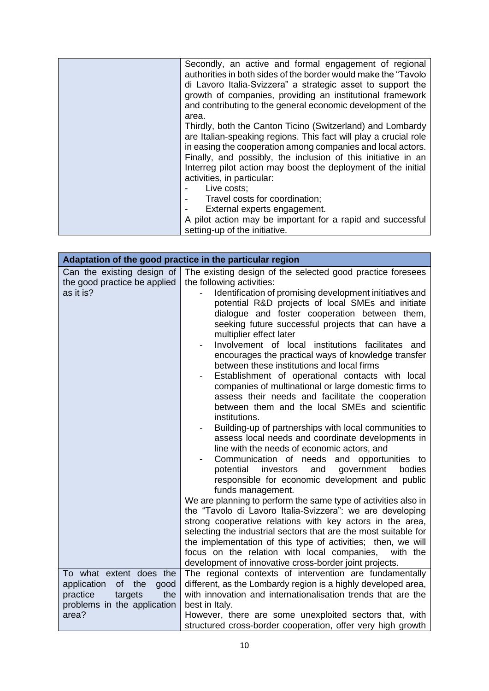| Secondly, an active and formal engagement of regional<br>authorities in both sides of the border would make the "Tavolo"<br>di Lavoro Italia-Svizzera" a strategic asset to support the<br>growth of companies, providing an institutional framework |
|------------------------------------------------------------------------------------------------------------------------------------------------------------------------------------------------------------------------------------------------------|
| and contributing to the general economic development of the                                                                                                                                                                                          |
| area.<br>Thirdly, both the Canton Ticino (Switzerland) and Lombardy                                                                                                                                                                                  |
| are Italian-speaking regions. This fact will play a crucial role                                                                                                                                                                                     |
| in easing the cooperation among companies and local actors.                                                                                                                                                                                          |
| Finally, and possibly, the inclusion of this initiative in an<br>Interreg pilot action may boost the deployment of the initial                                                                                                                       |
| activities, in particular:                                                                                                                                                                                                                           |
| Live costs;                                                                                                                                                                                                                                          |
| Travel costs for coordination;                                                                                                                                                                                                                       |
| External experts engagement.                                                                                                                                                                                                                         |
| A pilot action may be important for a rapid and successful                                                                                                                                                                                           |
| setting-up of the initiative.                                                                                                                                                                                                                        |

|                                                                                                                          | Adaptation of the good practice in the particular region                                                                                                                                                                                                                                                                                                                                                                                                                                                                                                                                                                                                                                                                                                                                                                                                                                                                                                                                                                                                                                                                                                                                                                                               |  |
|--------------------------------------------------------------------------------------------------------------------------|--------------------------------------------------------------------------------------------------------------------------------------------------------------------------------------------------------------------------------------------------------------------------------------------------------------------------------------------------------------------------------------------------------------------------------------------------------------------------------------------------------------------------------------------------------------------------------------------------------------------------------------------------------------------------------------------------------------------------------------------------------------------------------------------------------------------------------------------------------------------------------------------------------------------------------------------------------------------------------------------------------------------------------------------------------------------------------------------------------------------------------------------------------------------------------------------------------------------------------------------------------|--|
| Can the existing design of<br>the good practice be applied                                                               | The existing design of the selected good practice foresees<br>the following activities:                                                                                                                                                                                                                                                                                                                                                                                                                                                                                                                                                                                                                                                                                                                                                                                                                                                                                                                                                                                                                                                                                                                                                                |  |
| as it is?                                                                                                                | Identification of promising development initiatives and<br>potential R&D projects of local SMEs and initiate<br>dialogue and foster cooperation between them,<br>seeking future successful projects that can have a<br>multiplier effect later<br>Involvement of local institutions facilitates and<br>encourages the practical ways of knowledge transfer<br>between these institutions and local firms<br>Establishment of operational contacts with local<br>companies of multinational or large domestic firms to<br>assess their needs and facilitate the cooperation<br>between them and the local SMEs and scientific<br>institutions.<br>Building-up of partnerships with local communities to<br>assess local needs and coordinate developments in<br>line with the needs of economic actors, and<br>Communication of needs and opportunities to<br>bodies<br>potential investors<br>and<br>government<br>responsible for economic development and public<br>funds management.<br>We are planning to perform the same type of activities also in<br>the "Tavolo di Lavoro Italia-Svizzera": we are developing<br>strong cooperative relations with key actors in the area,<br>selecting the industrial sectors that are the most suitable for |  |
|                                                                                                                          | the implementation of this type of activities; then, we will                                                                                                                                                                                                                                                                                                                                                                                                                                                                                                                                                                                                                                                                                                                                                                                                                                                                                                                                                                                                                                                                                                                                                                                           |  |
|                                                                                                                          | focus on the relation with local companies,<br>with the<br>development of innovative cross-border joint projects.                                                                                                                                                                                                                                                                                                                                                                                                                                                                                                                                                                                                                                                                                                                                                                                                                                                                                                                                                                                                                                                                                                                                      |  |
| To what extent does the<br>application<br>of<br>the<br>good<br>practice<br>the<br>targets<br>problems in the application | The regional contexts of intervention are fundamentally<br>different, as the Lombardy region is a highly developed area,<br>with innovation and internationalisation trends that are the<br>best in Italy.                                                                                                                                                                                                                                                                                                                                                                                                                                                                                                                                                                                                                                                                                                                                                                                                                                                                                                                                                                                                                                             |  |
| area?                                                                                                                    | However, there are some unexploited sectors that, with<br>structured cross-border cooperation, offer very high growth                                                                                                                                                                                                                                                                                                                                                                                                                                                                                                                                                                                                                                                                                                                                                                                                                                                                                                                                                                                                                                                                                                                                  |  |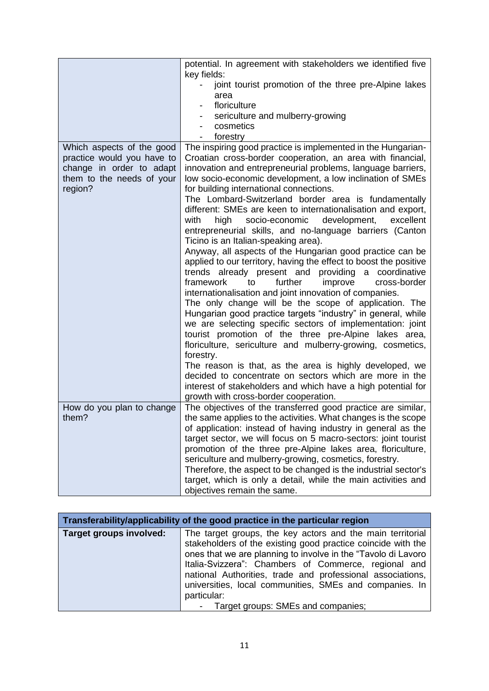|                            | potential. In agreement with stakeholders we identified five<br>key fields:                                                   |
|----------------------------|-------------------------------------------------------------------------------------------------------------------------------|
|                            | joint tourist promotion of the three pre-Alpine lakes<br>area                                                                 |
|                            | floriculture                                                                                                                  |
|                            | sericulture and mulberry-growing                                                                                              |
|                            | cosmetics                                                                                                                     |
|                            | forestry                                                                                                                      |
| Which aspects of the good  | The inspiring good practice is implemented in the Hungarian-                                                                  |
| practice would you have to | Croatian cross-border cooperation, an area with financial,                                                                    |
| change in order to adapt   | innovation and entrepreneurial problems, language barriers,                                                                   |
| them to the needs of your  | low socio-economic development, a low inclination of SMEs                                                                     |
| region?                    | for building international connections.                                                                                       |
|                            | The Lombard-Switzerland border area is fundamentally<br>different: SMEs are keen to internationalisation and export,          |
|                            | high<br>development,<br>with<br>socio-economic<br>excellent                                                                   |
|                            | entrepreneurial skills, and no-language barriers (Canton                                                                      |
|                            | Ticino is an Italian-speaking area).                                                                                          |
|                            | Anyway, all aspects of the Hungarian good practice can be                                                                     |
|                            | applied to our territory, having the effect to boost the positive                                                             |
|                            | trends already present and providing a coordinative                                                                           |
|                            | further<br>improve<br>cross-border<br>framework<br>to                                                                         |
|                            | internationalisation and joint innovation of companies.                                                                       |
|                            | The only change will be the scope of application. The<br>Hungarian good practice targets "industry" in general, while         |
|                            | we are selecting specific sectors of implementation: joint                                                                    |
|                            | tourist promotion of the three pre-Alpine lakes area,                                                                         |
|                            | floriculture, sericulture and mulberry-growing, cosmetics,                                                                    |
|                            | forestry.                                                                                                                     |
|                            | The reason is that, as the area is highly developed, we                                                                       |
|                            | decided to concentrate on sectors which are more in the                                                                       |
|                            | interest of stakeholders and which have a high potential for                                                                  |
|                            | growth with cross-border cooperation.                                                                                         |
| How do you plan to change  | The objectives of the transferred good practice are similar,                                                                  |
| them?                      | the same applies to the activities. What changes is the scope                                                                 |
|                            | of application: instead of having industry in general as the                                                                  |
|                            | target sector, we will focus on 5 macro-sectors: joint tourist<br>promotion of the three pre-Alpine lakes area, floriculture, |
|                            | sericulture and mulberry-growing, cosmetics, forestry.                                                                        |
|                            | Therefore, the aspect to be changed is the industrial sector's                                                                |
|                            | target, which is only a detail, while the main activities and                                                                 |
|                            | objectives remain the same.                                                                                                   |

| Transferability/applicability of the good practice in the particular region |                                                                                                                                                                                                                                                                                                                                                                                                                                      |
|-----------------------------------------------------------------------------|--------------------------------------------------------------------------------------------------------------------------------------------------------------------------------------------------------------------------------------------------------------------------------------------------------------------------------------------------------------------------------------------------------------------------------------|
| Target groups involved:                                                     | The target groups, the key actors and the main territorial<br>stakeholders of the existing good practice coincide with the<br>ones that we are planning to involve in the "Tavolo di Lavoro"<br>Italia-Svizzera": Chambers of Commerce, regional and<br>national Authorities, trade and professional associations,<br>universities, local communities, SMEs and companies. In<br>particular:<br>- Target groups: SMEs and companies; |